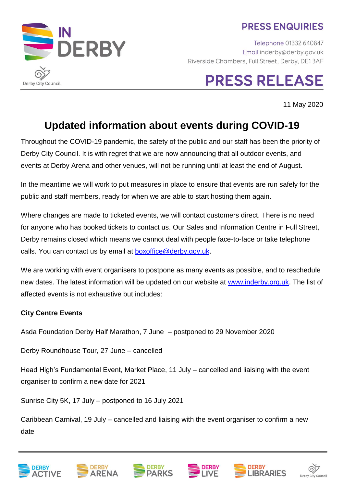### **PRESS ENQUIRIES**



# **PRESS RELEASE**

11 May 2020

## **Updated information about events during COVID-19**

Throughout the COVID-19 pandemic, the safety of the public and our staff has been the priority of Derby City Council. It is with regret that we are now announcing that all outdoor events, and events at Derby Arena and other venues, will not be running until at least the end of August.

In the meantime we will work to put measures in place to ensure that events are run safely for the public and staff members, ready for when we are able to start hosting them again.

Where changes are made to ticketed events, we will contact customers direct. There is no need for anyone who has booked tickets to contact us. Our Sales and Information Centre in Full Street, Derby remains closed which means we cannot deal with people face-to-face or take telephone calls. You can contact us by email at [boxoffice@derby.gov.uk.](mailto:boxoffice@derby.gov.uk)

We are working with event organisers to postpone as many events as possible, and to reschedule new dates. The latest information will be updated on our website at [www.inderby.org.uk.](http://www.inderby.org.uk/) The list of affected events is not exhaustive but includes:

#### **City Centre Events**

Asda Foundation Derby Half Marathon, 7 June – postponed to 29 November 2020

Derby Roundhouse Tour, 27 June – cancelled

Head High's Fundamental Event, Market Place, 11 July – cancelled and liaising with the event organiser to confirm a new date for 2021

Sunrise City 5K, 17 July – postponed to 16 July 2021

Caribbean Carnival, 19 July – cancelled and liaising with the event organiser to confirm a new date











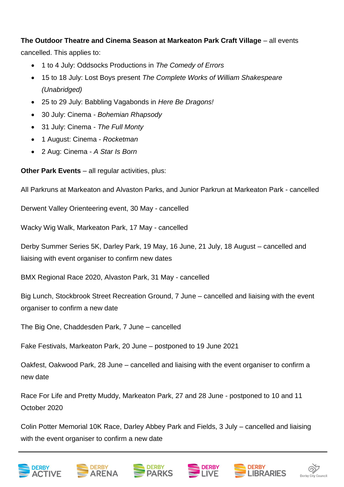**The Outdoor Theatre and Cinema Season at Markeaton Park Craft Village** – all events

cancelled. This applies to:

- 1 to 4 July: Oddsocks Productions in *The Comedy of Errors*
- 15 to 18 July: Lost Boys present *The Complete Works of William Shakespeare (Unabridged)*
- 25 to 29 July: Babbling Vagabonds in *Here Be Dragons!*
- 30 July: Cinema *Bohemian Rhapsody*
- 31 July: Cinema *The Full Monty*
- 1 August: Cinema *Rocketman*
- 2 Aug: Cinema *A Star Is Born*

**Other Park Events** – all regular activities, plus:

All Parkruns at Markeaton and Alvaston Parks, and Junior Parkrun at Markeaton Park - cancelled

Derwent Valley Orienteering event, 30 May - cancelled

Wacky Wig Walk, Markeaton Park, 17 May - cancelled

Derby Summer Series 5K, Darley Park, 19 May, 16 June, 21 July, 18 August – cancelled and liaising with event organiser to confirm new dates

BMX Regional Race 2020, Alvaston Park, 31 May - cancelled

Big Lunch, Stockbrook Street Recreation Ground, 7 June – cancelled and liaising with the event organiser to confirm a new date

The Big One, Chaddesden Park, 7 June – cancelled

Fake Festivals, Markeaton Park, 20 June – postponed to 19 June 2021

Oakfest, Oakwood Park, 28 June – cancelled and liaising with the event organiser to confirm a new date

Race For Life and Pretty Muddy, Markeaton Park, 27 and 28 June - postponed to 10 and 11 October 2020

Colin Potter Memorial 10K Race, Darley Abbey Park and Fields, 3 July – cancelled and liaising with the event organiser to confirm a new date









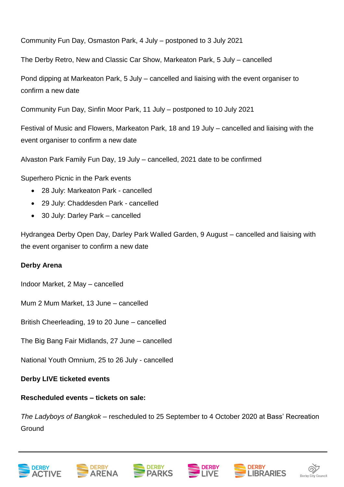Community Fun Day, Osmaston Park, 4 July – postponed to 3 July 2021

The Derby Retro, New and Classic Car Show, Markeaton Park, 5 July – cancelled

Pond dipping at Markeaton Park, 5 July – cancelled and liaising with the event organiser to confirm a new date

Community Fun Day, Sinfin Moor Park, 11 July – postponed to 10 July 2021

Festival of Music and Flowers, Markeaton Park, 18 and 19 July – cancelled and liaising with the event organiser to confirm a new date

Alvaston Park Family Fun Day, 19 July – cancelled, 2021 date to be confirmed

Superhero Picnic in the Park events

- 28 July: Markeaton Park cancelled
- 29 July: Chaddesden Park cancelled
- 30 July: Darley Park cancelled

Hydrangea Derby Open Day, Darley Park Walled Garden, 9 August – cancelled and liaising with the event organiser to confirm a new date

#### **Derby Arena**

Indoor Market, 2 May – cancelled

Mum 2 Mum Market, 13 June – cancelled

British Cheerleading, 19 to 20 June – cancelled

The Big Bang Fair Midlands, 27 June – cancelled

National Youth Omnium, 25 to 26 July - cancelled

**Derby LIVE ticketed events**

#### **Rescheduled events – tickets on sale:**

*The Ladyboys of Bangkok* – rescheduled to 25 September to 4 October 2020 at Bass' Recreation **Ground**